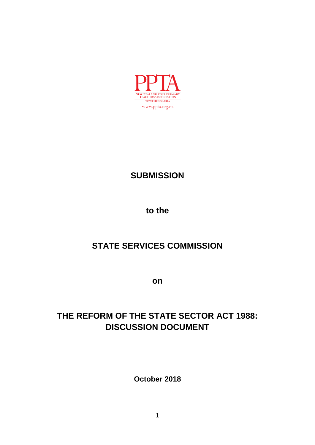

# **SUBMISSION**

**to the**

# **STATE SERVICES COMMISSION**

**on**

# **THE REFORM OF THE STATE SECTOR ACT 1988: DISCUSSION DOCUMENT**

**October 2018**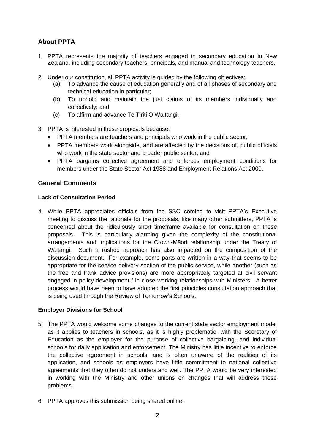# **About PPTA**

- 1. PPTA represents the majority of teachers engaged in secondary education in New Zealand, including secondary teachers, principals, and manual and technology teachers.
- 2. Under our constitution, all PPTA activity is guided by the following objectives:
	- (a) To advance the cause of education generally and of all phases of secondary and technical education in particular;
	- (b) To uphold and maintain the just claims of its members individually and collectively; and
	- (c) To affirm and advance Te Tiriti O Waitangi.
- 3. PPTA is interested in these proposals because:
	- PPTA members are teachers and principals who work in the public sector;
	- PPTA members work alongside, and are affected by the decisions of, public officials who work in the state sector and broader public sector; and
	- PPTA bargains collective agreement and enforces employment conditions for members under the State Sector Act 1988 and Employment Relations Act 2000.

# **General Comments**

## **Lack of Consultation Period**

4. While PPTA appreciates officials from the SSC coming to visit PPTA"s Executive meeting to discuss the rationale for the proposals, like many other submitters, PPTA is concerned about the ridiculously short timeframe available for consultation on these proposals. This is particularly alarming given the complexity of the constitutional arrangements and implications for the Crown-Māori relationship under the Treaty of Waitangi. Such a rushed approach has also impacted on the composition of the discussion document. For example, some parts are written in a way that seems to be appropriate for the service delivery section of the public service, while another (such as the free and frank advice provisions) are more appropriately targeted at civil servant engaged in policy development / in close working relationships with Ministers. A better process would have been to have adopted the first principles consultation approach that is being used through the Review of Tomorrow"s Schools.

#### **Employer Divisions for School**

- 5. The PPTA would welcome some changes to the current state sector employment model as it applies to teachers in schools, as it is highly problematic, with the Secretary of Education as the employer for the purpose of collective bargaining, and individual schools for daily application and enforcement. The Ministry has little incentive to enforce the collective agreement in schools, and is often unaware of the realities of its application, and schools as employers have little commitment to national collective agreements that they often do not understand well. The PPTA would be very interested in working with the Ministry and other unions on changes that will address these problems.
- 6. PPTA approves this submission being shared online.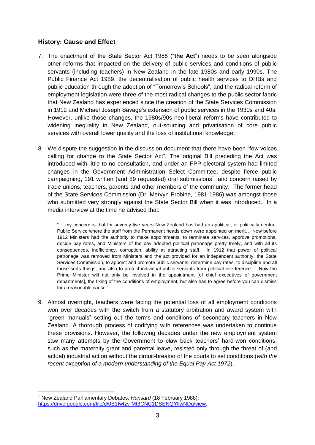# **History: Cause and Effect**

- 7. The enactment of the State Sector Act 1988 ("**the Act**") needs to be seen alongside other reforms that impacted on the delivery of public services and conditions of public servants (including teachers) in New Zealand in the late 1980s and early 1990s. The Public Finance Act 1989, the decentralisation of public health services to DHBs and public education through the adoption of "Tomorrow"s Schools", and the radical reform of employment legislation were three of the most radical changes to the public sector fabric that New Zealand has experienced since the creation of the State Services Commission in 1912 and Michael Joseph Savage's extension of public services in the 1930s and 40s. However, unlike those changes, the 1980s/90s neo-liberal reforms have contributed to widening inequality in New Zealand, out-sourcing and privatisation of core public services with overall lower quality and the loss of institutional knowledge.
- 8. We dispute the suggestion in the discussion document that there have been "few voices calling for change to the State Sector Act". The original Bill preceding the Act was introduced with little to no consultation, and under an FPP electoral system had limited changes in the Government Administration Select Committee, despite fierce public campaigning, 191 written (and 89 requested) oral submissions<sup>1</sup>, and concern raised by trade unions, teachers, parents and other members of the community. The former head of the State Services Commission (Dr. Mervyn Probine, 1981-1986) was amongst those who submitted very strongly against the State Sector Bill when it was introduced. In a media interview at the time he advised that:

"… my concern is that for seventy-five years New Zealand has had an apolitical, or politically neutral, Public Service where the staff from the Permanent heads down were appointed on merit… Now before 1912 Ministers had the authority to make appointments, to terminate services, approve promotions, decide pay rates, and Ministers of the day adopted political patronage pretty freely, and with all its consequences, inefficiency, corruption, ability at attracting staff. In 1912 that power of political patronage was removed from Ministers and the act provided for an independent authority, the State Services Commission, to appoint and promote public servants, determine pay rates, to discipline and all those sorts things, and also to protect individual public servants from political interference…. Now the Prime Minister will not only be involved in the appointment [of chief executives of government departments], the fixing of the conditions of employment, but also has to agree before you can dismiss for a reasonable cause."

9. Almost overnight, teachers were facing the potential loss of all employment conditions won over decades with the switch from a statutory arbitration and award system with "green manuals" setting out the terms and conditions of secondary teachers in New Zealand. A thorough process of codifying with references was undertaken to continue these provisions. However, the following decades under the new employment system saw many attempts by the Government to claw back teachers' hard-won conditions, such as the maternity grant and parental leave, resisted only through the threat of (and actual) industrial action without the circuit-breaker of the courts to set conditions (*with the recent exception of a modern understanding of the Equal Pay Act 1972*).

1

<sup>1</sup> New Zealand Parliamentary Debates. *Hansard* (18 February 1988): [https://drive.google.com/file/d/0B1Iwfzv-Mt3CNC1DSENQYllwNDg/view.](https://drive.google.com/file/d/0B1Iwfzv-Mt3CNC1DSENQYllwNDg/view)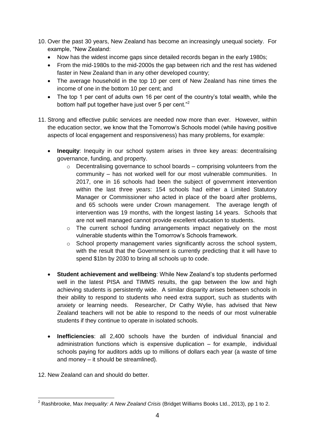- 10. Over the past 30 years, New Zealand has become an increasingly unequal society. For example, "New Zealand:
	- Now has the widest income gaps since detailed records began in the early 1980s;
	- From the mid-1980s to the mid-2000s the gap between rich and the rest has widened faster in New Zealand than in any other developed country;
	- The average household in the top 10 per cent of New Zealand has nine times the income of one in the bottom 10 per cent; and
	- The top 1 per cent of adults own 16 per cent of the country's total wealth, while the bottom half put together have just over 5 per cent."<sup>2</sup>
- 11. Strong and effective public services are needed now more than ever. However, within the education sector, we know that the Tomorrow"s Schools model (while having positive aspects of local engagement and responsiveness) has many problems, for example:
	- **Inequity**: Inequity in our school system arises in three key areas: decentralising governance, funding, and property.
		- o Decentralising governance to school boards comprising volunteers from the community – has not worked well for our most vulnerable communities. In 2017, one in 16 schools had been the subject of government intervention within the last three years: 154 schools had either a Limited Statutory Manager or Commissioner who acted in place of the board after problems, and 65 schools were under Crown management. The average length of intervention was 19 months, with the longest lasting 14 years. Schools that are not well managed cannot provide excellent education to students.
		- o The current school funding arrangements impact negatively on the most vulnerable students within the Tomorrow"s Schools framework.
		- o School property management varies significantly across the school system, with the result that the Government is currently predicting that it will have to spend \$1bn by 2030 to bring all schools up to code.
	- **Student achievement and wellbeing**: While New Zealand"s top students performed well in the latest PISA and TIMMS results, the gap between the low and high achieving students is persistently wide. A similar disparity arises between schools in their ability to respond to students who need extra support, such as students with anxiety or learning needs. Researcher, Dr Cathy Wylie, has advised that New Zealand teachers will not be able to respond to the needs of our most vulnerable students if they continue to operate in isolated schools.
	- **Inefficiencies**: all 2,400 schools have the burden of individual financial and administration functions which is expensive duplication – for example, individual schools paying for auditors adds up to millions of dollars each year (a waste of time and money – it should be streamlined).
- 12. New Zealand can and should do better.

 $\overline{a}$ <sup>2</sup> Rashbrooke, Max *Inequality: A New Zealand Crisis* (Bridget Williams Books Ltd., 2013), pp 1 to 2.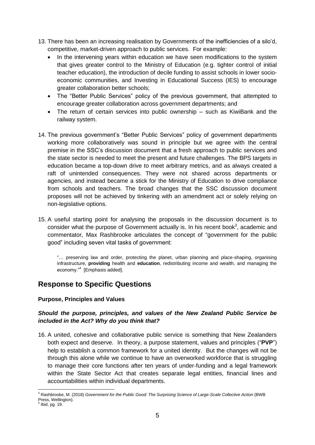- 13. There has been an increasing realisation by Governments of the inefficiencies of a silo"d, competitive, market-driven approach to public services. For example:
	- In the intervening years within education we have seen modifications to the system that gives greater control to the Ministry of Education (e.g. tighter control of initial teacher education), the introduction of decile funding to assist schools in lower socioeconomic communities, and Investing in Educational Success (IES) to encourage greater collaboration better schools;
	- The "Better Public Services" policy of the previous government, that attempted to encourage greater collaboration across government departments; and
	- The return of certain services into public ownership such as KiwiBank and the railway system.
- 14. The previous government"s "Better Public Services" policy of government departments working more collaboratively was sound in principle but we agree with the central premise in the SSC"s discussion document that a fresh approach to public services and the state sector is needed to meet the present and future challenges. The BPS targets in education became a top-down drive to meet arbitrary metrics, and as always created a raft of unintended consequences. They were not shared across departments or agencies, and instead became a stick for the Ministry of Education to drive compliance from schools and teachers. The broad changes that the SSC discussion document proposes will not be achieved by tinkering with an amendment act or solely relying on non-legislative options.
- 15. A useful starting point for analysing the proposals in the discussion document is to consider what the purpose of Government actually is. In his recent book<sup>3</sup>, academic and commentator, Max Rashbrooke articulates the concept of "government for the public good" including seven vital tasks of government:

"… preserving law and order, protecting the planet, urban planning and place-shaping, organising infrastructure, **providing** health and **education**, redistributing income and wealth, and managing the economy."<sup>4</sup> [Emphasis added].

# **Response to Specific Questions**

# **Purpose, Principles and Values**

# *Should the purpose, principles, and values of the New Zealand Public Service be included in the Act? Why do you think that?*

16. A united, cohesive and collaborative public service is something that New Zealanders both expect and deserve. In theory, a purpose statement, values and principles ("**PVP**") help to establish a common framework for a united identity. But the changes will not be through this alone while we continue to have an overworked workforce that is struggling to manage their core functions after ten years of under-funding and a legal framework within the State Sector Act that creates separate legal entities, financial lines and accountabilities within individual departments.

<sup>1</sup> <sup>3</sup> Rashbrooke, M. (2018) *Government for the Public Good: The Surprising Science of Large-Scale Collective Action* (BWB Press, Wellington). 4 Ibid, pg. 19.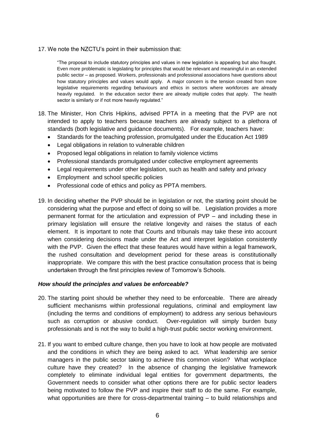17. We note the NZCTU"s point in their submission that:

"The proposal to include statutory principles and values in new legislation is appealing but also fraught. Even more problematic is legislating for principles that would be relevant and meaningful in an extended public sector – as proposed. Workers, professionals and professional associations have questions about how statutory principles and values would apply. A major concern is the tension created from more legislative requirements regarding behaviours and ethics in sectors where workforces are already heavily regulated. In the education sector there are already multiple codes that apply. The health sector is similarly or if not more heavily regulated."

- 18. The Minister, Hon Chris Hipkins, advised PPTA in a meeting that the PVP are not intended to apply to teachers because teachers are already subject to a plethora of standards (both legislative and guidance documents). For example, teachers have:
	- Standards for the teaching profession, promulgated under the Education Act 1989
	- Legal obligations in relation to vulnerable children
	- Proposed legal obligations in relation to family violence victims
	- Professional standards promulgated under collective employment agreements
	- Legal requirements under other legislation, such as health and safety and privacy
	- Employment and school specific policies
	- Professional code of ethics and policy as PPTA members.
- 19. In deciding whether the PVP should be in legislation or not, the starting point should be considering what the purpose and effect of doing so will be. Legislation provides a more permanent format for the articulation and expression of PVP – and including these in primary legislation will ensure the relative longevity and raises the status of each element. It is important to note that Courts and tribunals may take these into account when considering decisions made under the Act and interpret legislation consistently with the PVP. Given the effect that these features would have within a legal framework. the rushed consultation and development period for these areas is constitutionally inappropriate. We compare this with the best practice consultation process that is being undertaken through the first principles review of Tomorrow"s Schools.

#### *How should the principles and values be enforceable?*

- 20. The starting point should be whether they need to be enforceable. There are already sufficient mechanisms within professional regulations, criminal and employment law (including the terms and conditions of employment) to address any serious behaviours such as corruption or abusive conduct. Over-regulation will simply burden busy professionals and is not the way to build a high-trust public sector working environment.
- 21. If you want to embed culture change, then you have to look at how people are motivated and the conditions in which they are being asked to act. What leadership are senior managers in the public sector taking to achieve this common vision? What workplace culture have they created? In the absence of changing the legislative framework completely to eliminate individual legal entities for government departments, the Government needs to consider what other options there are for public sector leaders being motivated to follow the PVP and inspire their staff to do the same. For example, what opportunities are there for cross-departmental training – to build relationships and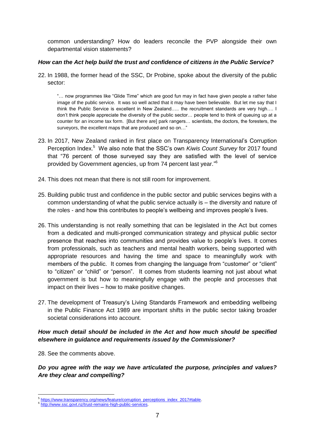common understanding? How do leaders reconcile the PVP alongside their own departmental vision statements?

### *How can the Act help build the trust and confidence of citizens in the Public Service?*

22. In 1988, the former head of the SSC, Dr Probine, spoke about the diversity of the public sector:

"… now programmes like "Glide Time" which are good fun may in fact have given people a rather false image of the public service. It was so well acted that it may have been believable. But let me say that I think the Public Service is excellent in New Zealand….. the recruitment standards are very high…. I don"t think people appreciate the diversity of the public sector… people tend to think of queuing up at a counter for an income tax form. [But there are] park rangers… scientists, the doctors, the foresters, the surveyors, the excellent maps that are produced and so on…"

- 23. In 2017, New Zealand ranked in first place on Transparency International"s Corruption Perception Index. <sup>5</sup> We also note that the SSC"s own *Kiwis Count Survey* for 2017 found that "76 percent of those surveyed say they are satisfied with the level of service provided by Government agencies, up from 74 percent last year."<sup>6</sup>
- 24. This does not mean that there is not still room for improvement.
- 25. Building public trust and confidence in the public sector and public services begins with a common understanding of what the public service actually is – the diversity and nature of the roles - and how this contributes to people"s wellbeing and improves people"s lives.
- 26. This understanding is not really something that can be legislated in the Act but comes from a dedicated and multi-pronged communication strategy and physical public sector presence that reaches into communities and provides value to people"s lives. It comes from professionals, such as teachers and mental health workers, being supported with appropriate resources and having the time and space to meaningfully work with members of the public. It comes from changing the language from "customer" or "client" to "citizen" or "child" or "person". It comes from students learning not just about what government is but how to meaningfully engage with the people and processes that impact on their lives – how to make positive changes.
- 27. The development of Treasury"s Living Standards Framework and embedding wellbeing in the Public Finance Act 1989 are important shifts in the public sector taking broader societal considerations into account.

# *How much detail should be included in the Act and how much should be specified elsewhere in guidance and requirements issued by the Commissioner?*

28. See the comments above.

# *Do you agree with the way we have articulated the purpose, principles and values? Are they clear and compelling?*

 5 [https://www.transparency.org/news/feature/corruption\\_perceptions\\_index\\_2017#table.](https://www.transparency.org/news/feature/corruption_perceptions_index_2017#table)

<sup>6</sup> [http://www.ssc.govt.nz/trust-remains-high-public-services.](http://www.ssc.govt.nz/trust-remains-high-public-services)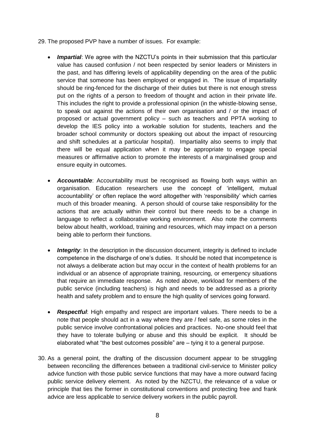- 29. The proposed PVP have a number of issues. For example:
	- *Impartial*: We agree with the NZCTU"s points in their submission that this particular value has caused confusion / not been respected by senior leaders or Ministers in the past, and has differing levels of applicability depending on the area of the public service that someone has been employed or engaged in. The issue of impartiality should be ring-fenced for the discharge of their duties but there is not enough stress put on the rights of a person to freedom of thought and action in their private life. This includes the right to provide a professional opinion (in the whistle-blowing sense, to speak out against the actions of their own organisation and / or the impact of proposed or actual government policy – such as teachers and PPTA working to develop the IES policy into a workable solution for students, teachers and the broader school community or doctors speaking out about the impact of resourcing and shift schedules at a particular hospital). Impartiality also seems to imply that there will be equal application when it may be appropriate to engage special measures or affirmative action to promote the interests of a marginalised group and ensure equity in outcomes.
	- *Accountable*: Accountability must be recognised as flowing both ways within an organisation. Education researchers use the concept of "intelligent, mutual accountability" or often replace the word altogether with "responsibility" which carries much of this broader meaning. A person should of course take responsibility for the actions that are actually within their control but there needs to be a change in language to reflect a collaborative working environment. Also note the comments below about health, workload, training and resources, which may impact on a person being able to perform their functions.
	- *Integrity*: In the description in the discussion document, integrity is defined to include competence in the discharge of one"s duties. It should be noted that incompetence is not always a deliberate action but may occur in the context of health problems for an individual or an absence of appropriate training, resourcing, or emergency situations that require an immediate response. As noted above, workload for members of the public service (including teachers) is high and needs to be addressed as a priority health and safety problem and to ensure the high quality of services going forward.
	- *Respectful*: High empathy and respect are important values. There needs to be a note that people should act in a way where they are / feel safe, as some roles in the public service involve confrontational policies and practices. No-one should feel that they have to tolerate bullying or abuse and this should be explicit. It should be elaborated what "the best outcomes possible" are – tying it to a general purpose.
- 30. As a general point, the drafting of the discussion document appear to be struggling between reconciling the differences between a traditional civil-service to Minister policy advice function with those public service functions that may have a more outward facing public service delivery element. As noted by the NZCTU, the relevance of a value or principle that ties the former in constitutional conventions and protecting free and frank advice are less applicable to service delivery workers in the public payroll.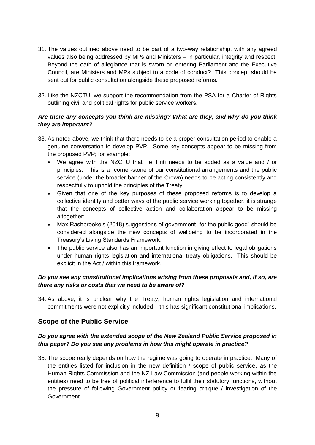- 31. The values outlined above need to be part of a two-way relationship, with any agreed values also being addressed by MPs and Ministers – in particular, integrity and respect. Beyond the oath of allegiance that is sworn on entering Parliament and the Executive Council, are Ministers and MPs subject to a code of conduct? This concept should be sent out for public consultation alongside these proposed reforms.
- 32. Like the NZCTU, we support the recommendation from the PSA for a Charter of Rights outlining civil and political rights for public service workers.

# *Are there any concepts you think are missing? What are they, and why do you think they are important?*

- 33. As noted above, we think that there needs to be a proper consultation period to enable a genuine conversation to develop PVP. Some key concepts appear to be missing from the proposed PVP; for example:
	- We agree with the NZCTU that Te Tiriti needs to be added as a value and / or principles. This is a corner-stone of our constitutional arrangements and the public service (under the broader banner of the Crown) needs to be acting consistently and respectfully to uphold the principles of the Treaty;
	- Given that one of the key purposes of these proposed reforms is to develop a collective identity and better ways of the public service working together, it is strange that the concepts of collective action and collaboration appear to be missing altogether;
	- Max Rashbrooke's (2018) suggestions of government "for the public good" should be considered alongside the new concepts of wellbeing to be incorporated in the Treasury"s Living Standards Framework.
	- The public service also has an important function in giving effect to legal obligations under human rights legislation and international treaty obligations. This should be explicit in the Act / within this framework.

# *Do you see any constitutional implications arising from these proposals and, if so, are there any risks or costs that we need to be aware of?*

34. As above, it is unclear why the Treaty, human rights legislation and international commitments were not explicitly included – this has significant constitutional implications.

# **Scope of the Public Service**

# *Do you agree with the extended scope of the New Zealand Public Service proposed in this paper? Do you see any problems in how this might operate in practice?*

35. The scope really depends on how the regime was going to operate in practice. Many of the entities listed for inclusion in the new definition / scope of public service, as the Human Rights Commission and the NZ Law Commission (and people working within the entities) need to be free of political interference to fulfil their statutory functions, without the pressure of following Government policy or fearing critique / investigation of the Government.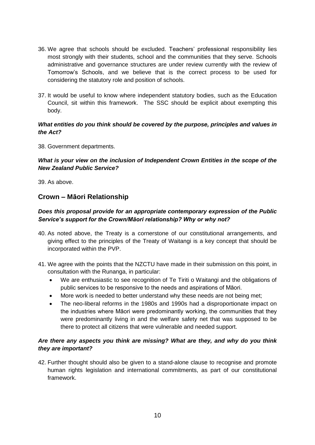- 36. We agree that schools should be excluded. Teachers" professional responsibility lies most strongly with their students, school and the communities that they serve. Schools administrative and governance structures are under review currently with the review of Tomorrow"s Schools, and we believe that is the correct process to be used for considering the statutory role and position of schools.
- 37. It would be useful to know where independent statutory bodies, such as the Education Council, sit within this framework. The SSC should be explicit about exempting this body.

## *What entities do you think should be covered by the purpose, principles and values in the Act?*

38. Government departments.

## *What is your view on the inclusion of Independent Crown Entities in the scope of the New Zealand Public Service?*

39. As above.

# **Crown – Māori Relationship**

# *Does this proposal provide for an appropriate contemporary expression of the Public Service's support for the Crown/Māori relationship? Why or why not?*

- 40. As noted above, the Treaty is a cornerstone of our constitutional arrangements, and giving effect to the principles of the Treaty of Waitangi is a key concept that should be incorporated within the PVP.
- 41. We agree with the points that the NZCTU have made in their submission on this point, in consultation with the Runanga, in particular:
	- We are enthusiastic to see recognition of Te Tiriti o Waitangi and the obligations of public services to be responsive to the needs and aspirations of Māori.
	- More work is needed to better understand why these needs are not being met;
	- The neo-liberal reforms in the 1980s and 1990s had a disproportionate impact on the industries where Māori were predominantly working, the communities that they were predominantly living in and the welfare safety net that was supposed to be there to protect all citizens that were vulnerable and needed support.

# *Are there any aspects you think are missing? What are they, and why do you think they are important?*

42. Further thought should also be given to a stand-alone clause to recognise and promote human rights legislation and international commitments, as part of our constitutional framework.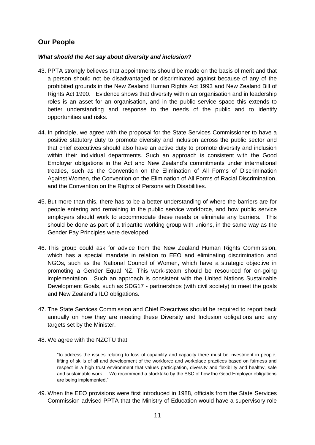# **Our People**

## *What should the Act say about diversity and inclusion?*

- 43. PPTA strongly believes that appointments should be made on the basis of merit and that a person should not be disadvantaged or discriminated against because of any of the prohibited grounds in the New Zealand Human Rights Act 1993 and New Zealand Bill of Rights Act 1990. Evidence shows that diversity within an organisation and in leadership roles is an asset for an organisation, and in the public service space this extends to better understanding and response to the needs of the public and to identify opportunities and risks.
- 44. In principle, we agree with the proposal for the State Services Commissioner to have a positive statutory duty to promote diversity and inclusion across the public sector and that chief executives should also have an active duty to promote diversity and inclusion within their individual departments. Such an approach is consistent with the Good Employer obligations in the Act and New Zealand"s commitments under international treaties, such as the Convention on the Elimination of All Forms of Discrimination Against Women, the Convention on the Elimination of All Forms of Racial Discrimination, and the Convention on the Rights of Persons with Disabilities.
- 45. But more than this, there has to be a better understanding of where the barriers are for people entering and remaining in the public service workforce, and how public service employers should work to accommodate these needs or eliminate any barriers. This should be done as part of a tripartite working group with unions, in the same way as the Gender Pay Principles were developed.
- 46. This group could ask for advice from the New Zealand Human Rights Commission, which has a special mandate in relation to EEO and eliminating discrimination and NGOs, such as the National Council of Women, which have a strategic objective in promoting a Gender Equal NZ. This work-steam should be resourced for on-going implementation. Such an approach is consistent with the United Nations Sustainable Development Goals, such as SDG17 - partnerships (with civil society) to meet the goals and New Zealand"s ILO obligations.
- 47. The State Services Commission and Chief Executives should be required to report back annually on how they are meeting these Diversity and Inclusion obligations and any targets set by the Minister.
- 48. We agree with the NZCTU that:

"to address the issues relating to loss of capability and capacity there must be investment in people, lifting of skills of all and development of the workforce and workplace practices based on fairness and respect in a high trust environment that values participation, diversity and flexibility and healthy, safe and sustainable work…. We recommend a stocktake by the SSC of how the Good Employer obligations are being implemented."

49. When the EEO provisions were first introduced in 1988, officials from the State Services Commission advised PPTA that the Ministry of Education would have a supervisory role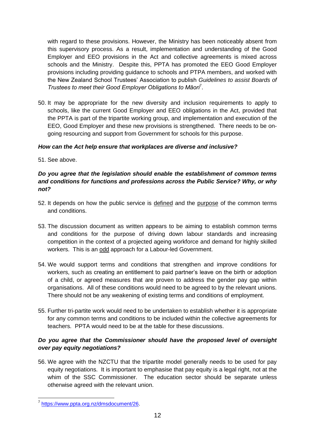with regard to these provisions. However, the Ministry has been noticeably absent from this supervisory process. As a result, implementation and understanding of the Good Employer and EEO provisions in the Act and collective agreements is mixed across schools and the Ministry. Despite this, PPTA has promoted the EEO Good Employer provisions including providing guidance to schools and PTPA members, and worked with the New Zealand School Trustees" Association to publish *Guidelines to assist Boards of Trustees to meet their Good Employer Obligations to Māori*<sup>7</sup> .

50. It may be appropriate for the new diversity and inclusion requirements to apply to schools, like the current Good Employer and EEO obligations in the Act, provided that the PPTA is part of the tripartite working group, and implementation and execution of the EEO, Good Employer and these new provisions is strengthened. There needs to be ongoing resourcing and support from Government for schools for this purpose.

# *How can the Act help ensure that workplaces are diverse and inclusive?*

51. See above.

# *Do you agree that the legislation should enable the establishment of common terms and conditions for functions and professions across the Public Service? Why, or why not?*

- 52. It depends on how the public service is defined and the purpose of the common terms and conditions.
- 53. The discussion document as written appears to be aiming to establish common terms and conditions for the purpose of driving down labour standards and increasing competition in the context of a projected ageing workforce and demand for highly skilled workers. This is an odd approach for a Labour-led Government.
- 54. We would support terms and conditions that strengthen and improve conditions for workers, such as creating an entitlement to paid partner"s leave on the birth or adoption of a child, or agreed measures that are proven to address the gender pay gap within organisations. All of these conditions would need to be agreed to by the relevant unions. There should not be any weakening of existing terms and conditions of employment.
- 55. Further tri-partite work would need to be undertaken to establish whether it is appropriate for any common terms and conditions to be included within the collective agreements for teachers. PPTA would need to be at the table for these discussions.

# *Do you agree that the Commissioner should have the proposed level of oversight over pay equity negotiations?*

56. We agree with the NZCTU that the tripartite model generally needs to be used for pay equity negotiations. It is important to emphasise that pay equity is a legal right, not at the whim of the SSC Commissioner. The education sector should be separate unless otherwise agreed with the relevant union.

 7 [https://www.ppta.org.nz/dmsdocument/26.](https://www.ppta.org.nz/dmsdocument/26)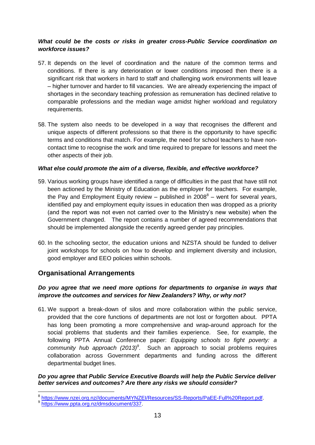# *What could be the costs or risks in greater cross-Public Service coordination on workforce issues?*

- 57. It depends on the level of coordination and the nature of the common terms and conditions. If there is any deterioration or lower conditions imposed then there is a significant risk that workers in hard to staff and challenging work environments will leave – higher turnover and harder to fill vacancies. We are already experiencing the impact of shortages in the secondary teaching profession as remuneration has declined relative to comparable professions and the median wage amidst higher workload and regulatory requirements.
- 58. The system also needs to be developed in a way that recognises the different and unique aspects of different professions so that there is the opportunity to have specific terms and conditions that match. For example, the need for school teachers to have noncontact time to recognise the work and time required to prepare for lessons and meet the other aspects of their job.

#### *What else could promote the aim of a diverse, flexible, and effective workforce?*

- 59. Various working groups have identified a range of difficulties in the past that have still not been actioned by the Ministry of Education as the employer for teachers. For example, the Pay and Employment Equity review – published in  $2008^8$  – went for several years, identified pay and employment equity issues in education then was dropped as a priority (and the report was not even not carried over to the Ministry"s new website) when the Government changed. The report contains a number of agreed recommendations that should be implemented alongside the recently agreed gender pay principles.
- 60. In the schooling sector, the education unions and NZSTA should be funded to deliver joint workshops for schools on how to develop and implement diversity and inclusion, good employer and EEO policies within schools.

# **Organisational Arrangements**

# *Do you agree that we need more options for departments to organise in ways that improve the outcomes and services for New Zealanders? Why, or why not?*

61. We support a break-down of silos and more collaboration within the public service, provided that the core functions of departments are not lost or forgotten about. PPTA has long been promoting a more comprehensive and wrap-around approach for the social problems that students and their families experience. See, for example, the following PPTA Annual Conference paper: *Equipping schools to fight poverty: a*  community hub approach (2013)<sup>9</sup>. Such an approach to social problems requires collaboration across Government departments and funding across the different departmental budget lines.

#### *Do you agree that Public Service Executive Boards will help the Public Service deliver better services and outcomes? Are there any risks we should consider?*

 8 [https://www.nzei.org.nz//documents/MYNZEI/Resources/SS-Reports/PaEE-Full%20Report.pdf.](https://www.nzei.org.nz/documents/MYNZEI/Resources/SS-Reports/PaEE-Full%20Report.pdf)

<sup>9</sup> [https://www.ppta.org.nz/dmsdocument/337.](https://www.ppta.org.nz/dmsdocument/337)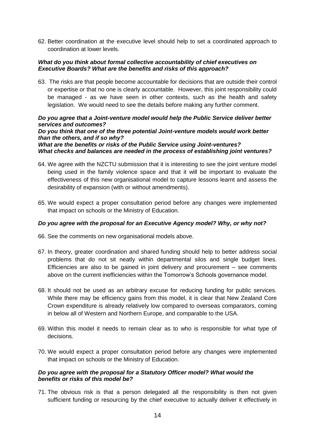62. Better coordination at the executive level should help to set a coordinated approach to coordination at lower levels.

#### *What do you think about formal collective accountability of chief executives on Executive Boards? What are the benefits and risks of this approach?*

63. The risks are that people become accountable for decisions that are outside their control or expertise or that no one is clearly accountable. However, this joint responsibility could be managed - as we have seen in other contexts, such as the health and safety legislation. We would need to see the details before making any further comment.

### *Do you agree that a Joint-venture model would help the Public Service deliver better services and outcomes?*

#### *Do you think that one of the three potential Joint-venture models would work better than the others, and if so why?*

#### *What are the benefits or risks of the Public Service using Joint-ventures? What checks and balances are needed in the process of establishing joint ventures?*

- 64. We agree with the NZCTU submission that it is interesting to see the joint venture model being used in the family violence space and that it will be important to evaluate the effectiveness of this new organisational model to capture lessons learnt and assess the desirability of expansion (with or without amendments).
- 65. We would expect a proper consultation period before any changes were implemented that impact on schools or the Ministry of Education.

#### *Do you agree with the proposal for an Executive Agency model? Why, or why not?*

- 66. See the comments on new organisational models above.
- 67. In theory, greater coordination and shared funding should help to better address social problems that do not sit neatly within departmental silos and single budget lines. Efficiencies are also to be gained in joint delivery and procurement – see comments above on the current inefficiencies within the Tomorrow's Schools governance model.
- 68. It should not be used as an arbitrary excuse for reducing funding for public services. While there may be efficiency gains from this model, it is clear that New Zealand Core Crown expenditure is already relatively low compared to overseas comparators, coming in below all of Western and Northern Europe, and comparable to the USA.
- 69. Within this model it needs to remain clear as to who is responsible for what type of decisions.
- 70. We would expect a proper consultation period before any changes were implemented that impact on schools or the Ministry of Education.

#### *Do you agree with the proposal for a Statutory Officer model? What would the benefits or risks of this model be?*

71. The obvious risk is that a person delegated all the responsibility is then not given sufficient funding or resourcing by the chief executive to actually deliver it effectively in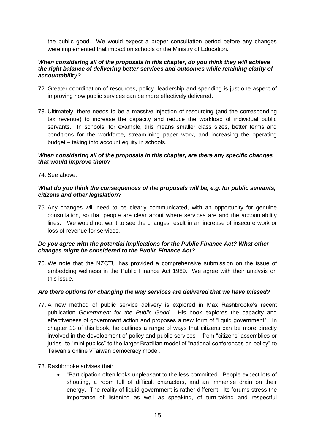the public good. We would expect a proper consultation period before any changes were implemented that impact on schools or the Ministry of Education.

#### *When considering all of the proposals in this chapter, do you think they will achieve the right balance of delivering better services and outcomes while retaining clarity of accountability?*

- 72. Greater coordination of resources, policy, leadership and spending is just one aspect of improving how public services can be more effectively delivered.
- 73. Ultimately, there needs to be a massive injection of resourcing (and the corresponding tax revenue) to increase the capacity and reduce the workload of individual public servants. In schools, for example, this means smaller class sizes, better terms and conditions for the workforce, streamlining paper work, and increasing the operating budget – taking into account equity in schools.

#### *When considering all of the proposals in this chapter, are there any specific changes that would improve them?*

74. See above.

#### *What do you think the consequences of the proposals will be, e.g. for public servants, citizens and other legislation?*

75. Any changes will need to be clearly communicated, with an opportunity for genuine consultation, so that people are clear about where services are and the accountability lines. We would not want to see the changes result in an increase of insecure work or loss of revenue for services.

#### *Do you agree with the potential implications for the Public Finance Act? What other changes might be considered to the Public Finance Act?*

76. We note that the NZCTU has provided a comprehensive submission on the issue of embedding wellness in the Public Finance Act 1989. We agree with their analysis on this issue.

#### *Are there options for changing the way services are delivered that we have missed?*

- 77. A new method of public service delivery is explored in Max Rashbrooke"s recent publication *Government for the Public Good*. His book explores the capacity and effectiveness of government action and proposes a new form of "liquid government". In chapter 13 of this book, he outlines a range of ways that citizens can be more directly involved in the development of policy and public services – from "citizens" assemblies or juries" to "mini publics" to the larger Brazilian model of "national conferences on policy" to Taiwan"s online vTaiwan democracy model.
- 78. Rashbrooke advises that:
	- "Participation often looks unpleasant to the less committed. People expect lots of shouting, a room full of difficult characters, and an immense drain on their energy. The reality of liquid government is rather different. Its forums stress the importance of listening as well as speaking, of turn-taking and respectful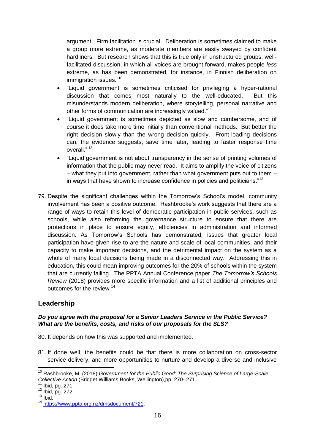argument. Firm facilitation is crucial. Deliberation is sometimes claimed to make a group more extreme, as moderate members are easily swayed by confident hardliners. But research shows that this is true only in unstructured groups: wellfacilitated discussion, in which all voices are brought forward, makes people *less*  extreme, as has been demonstrated, for instance, in Finnish deliberation on immigration issues."<sup>10</sup>

- "Liquid government is sometimes criticised for privileging a hyper-rational discussion that comes most naturally to the well-educated. But this misunderstands modern deliberation, where storytelling, personal narrative and other forms of communication are increasingly valued."<sup>11</sup>
- "Liquid government is sometimes depicted as slow and cumbersome, and of course it does take more time initially than conventional methods. But better the right decision slowly than the wrong decision quickly. Front-loading decisions can, the evidence suggests, save time later, leading to faster response time overall." <sup>12</sup>
- "Liquid government is not about transparency in the sense of printing volumes of information that the public may never read. It aims to amplify the voice of citizens – what they put into government, rather than what government puts out to them – in ways that have shown to increase confidence in policies and politicians."<sup>13</sup>
- 79. Despite the significant challenges within the Tomorrow"s School"s model, community involvement has been a positive outcome. Rashbrooke"s work suggests that there are a range of ways to retain this level of democratic participation in public services, such as schools, while also reforming the governance structure to ensure that there are protections in place to ensure equity, efficiencies in administration and informed discussion. As Tomorrow"s Schools has demonstrated, issues that greater local participation have given rise to are the nature and scale of local communities, and their capacity to make important decisions, and the detrimental impact on the system as a whole of many local decisions being made in a disconnected way. Addressing this in education, this could mean improving outcomes for the 20% of schools within the system that are currently failing. The PPTA Annual Conference paper *The Tomorrow's Schools Review* (2018) provides more specific information and a list of additional principles and outcomes for the review.<sup>14</sup>

# **Leadership**

## *Do you agree with the proposal for a Senior Leaders Service in the Public Service? What are the benefits, costs, and risks of our proposals for the SLS?*

80. It depends on how this was supported and implemented.

81. If done well, the benefits could be that there is more collaboration on cross-sector service delivery, and more opportunities to nurture and develop a diverse and inclusive

<sup>1</sup> <sup>10</sup> Rashbrooke, M. (2018) *Government for the Public Good: The Surprising Science of Large-Scale Collective Action* (Bridget Williams Books, Wellington),pp. 270-.271.

Ibid, pg. 271

<sup>12</sup> Ibid, pg. 272.

 $13$  Ibid.

<sup>14</sup> [https://www.ppta.org.nz/dmsdocument/721.](https://www.ppta.org.nz/dmsdocument/721)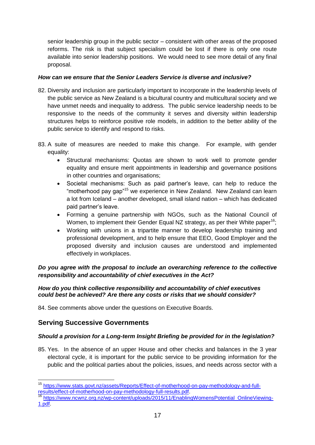senior leadership group in the public sector – consistent with other areas of the proposed reforms. The risk is that subject specialism could be lost if there is only one route available into senior leadership positions. We would need to see more detail of any final proposal.

## *How can we ensure that the Senior Leaders Service is diverse and inclusive?*

- 82. Diversity and inclusion are particularly important to incorporate in the leadership levels of the public service as New Zealand is a bicultural country and multicultural society and we have unmet needs and inequality to address. The public service leadership needs to be responsive to the needs of the community it serves and diversity within leadership structures helps to reinforce positive role models, in addition to the better ability of the public service to identify and respond to risks.
- 83. A suite of measures are needed to make this change. For example, with gender equality:
	- Structural mechanisms: Quotas are shown to work well to promote gender equality and ensure merit appointments in leadership and governance positions in other countries and organisations;
	- Societal mechanisms: Such as paid partner"s leave, can help to reduce the "motherhood pay gap"<sup>15</sup> we experience in New Zealand. New Zealand can learn a lot from Iceland – another developed, small island nation – which has dedicated paid partner's leave.
	- Forming a genuine partnership with NGOs, such as the National Council of Women, to implement their Gender Equal NZ strategy, as per their White paper<sup>16</sup>;
	- Working with unions in a tripartite manner to develop leadership training and professional development, and to help ensure that EEO, Good Employer and the proposed diversity and inclusion causes are understood and implemented effectively in workplaces.

*Do you agree with the proposal to include an overarching reference to the collective responsibility and accountability of chief executives in the Act?*

#### *How do you think collective responsibility and accountability of chief executives could best be achieved? Are there any costs or risks that we should consider?*

84. See comments above under the questions on Executive Boards.

# **Serving Successive Governments**

1

# *Should a provision for a Long-term Insight Briefing be provided for in the legislation?*

85. Yes. In the absence of an upper House and other checks and balances in the 3 year electoral cycle, it is important for the public service to be providing information for the public and the political parties about the policies, issues, and needs across sector with a

<sup>&</sup>lt;sup>15</sup> [https://www.stats.govt.nz/assets/Reports/Effect-of-motherhood-on-pay-methodology-and-full](https://www.stats.govt.nz/assets/Reports/Effect-of-motherhood-on-pay-methodology-and-full-results/effect-of-motherhood-on-pay-methodology-full-results.pdf)[results/effect-of-motherhood-on-pay-methodology-full-results.pdf.](https://www.stats.govt.nz/assets/Reports/Effect-of-motherhood-on-pay-methodology-and-full-results/effect-of-motherhood-on-pay-methodology-full-results.pdf)

[https://www.ncwnz.org.nz/wp-content/uploads/2015/11/EnablingWomensPotential\\_OnlineViewing-](https://www.ncwnz.org.nz/wp-content/uploads/2015/11/EnablingWomensPotential_OnlineViewing-1.pdf)[1.pdf.](https://www.ncwnz.org.nz/wp-content/uploads/2015/11/EnablingWomensPotential_OnlineViewing-1.pdf)